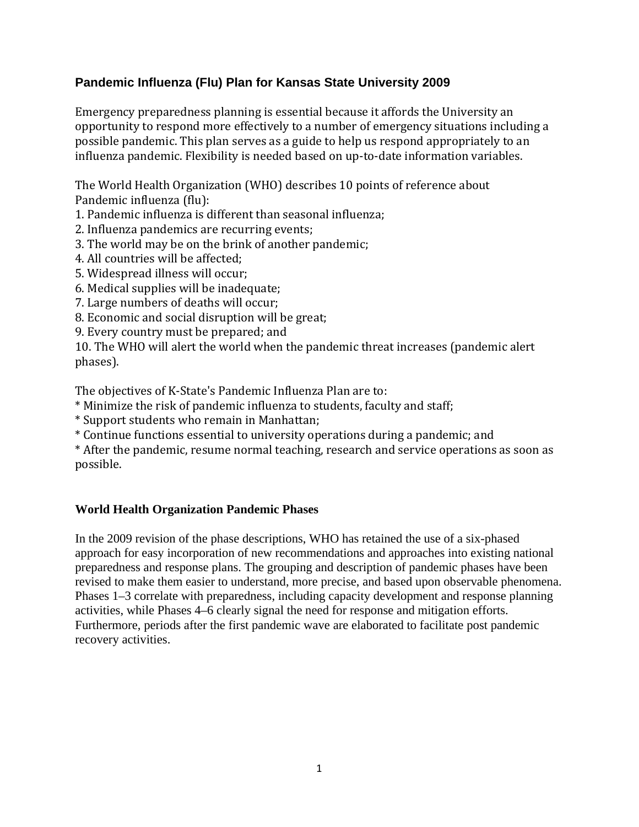## **Pandemic Influenza (Flu) Plan for Kansas State University 2009**

Emergency preparedness planning is essential because it affords the University an opportunity to respond more effectively to a number of emergency situations including a possible pandemic. This plan serves as a guide to help us respond appropriately to an influenza pandemic. Flexibility is needed based on up-to-date information variables.

The World Health Organization (WHO) describes 10 points of reference about Pandemic influenza (flu):

- 1. Pandemic influenza is different than seasonal influenza;
- 2. Influenza pandemics are recurring events;
- 3. The world may be on the brink of another pandemic;
- 4. All countries will be affected;
- 5. Widespread illness will occur;
- 6. Medical supplies will be inadequate;
- 7. Large numbers of deaths will occur;
- 8. Economic and social disruption will be great;
- 9. Every country must be prepared; and

10. The WHO will alert the world when the pandemic threat increases (pandemic alert phases).

The objectives of K‐State's Pandemic Influenza Plan are to:

\* Minimize the risk of pandemic influenza to students, faculty and staff;

- \* Support students who remain in Manhattan;
- \* Continue functions essential to university operations during a pandemic; and

\* After the pandemic, resume normal teaching, research and service operations as soon as possible.

## **World Health Organization Pandemic Phases**

In the 2009 revision of the phase descriptions, WHO has retained the use of a six-phased approach for easy incorporation of new recommendations and approaches into existing national preparedness and response plans. The grouping and description of pandemic phases have been revised to make them easier to understand, more precise, and based upon observable phenomena. Phases 1–3 correlate with preparedness, including capacity development and response planning activities, while Phases 4–6 clearly signal the need for response and mitigation efforts. Furthermore, periods after the first pandemic wave are elaborated to facilitate post pandemic recovery activities.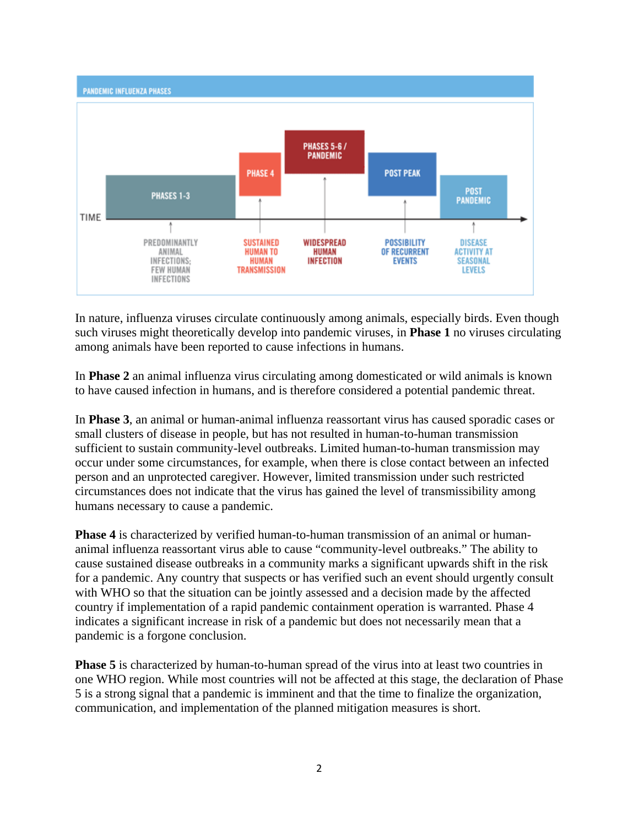

In nature, influenza viruses circulate continuously among animals, especially birds. Even though such viruses might theoretically develop into pandemic viruses, in **Phase 1** no viruses circulating among animals have been reported to cause infections in humans.

In **Phase 2** an animal influenza virus circulating among domesticated or wild animals is known to have caused infection in humans, and is therefore considered a potential pandemic threat.

In **Phase 3**, an animal or human-animal influenza reassortant virus has caused sporadic cases or small clusters of disease in people, but has not resulted in human-to-human transmission sufficient to sustain community-level outbreaks. Limited human-to-human transmission may occur under some circumstances, for example, when there is close contact between an infected person and an unprotected caregiver. However, limited transmission under such restricted circumstances does not indicate that the virus has gained the level of transmissibility among humans necessary to cause a pandemic.

**Phase 4** is characterized by verified human-to-human transmission of an animal or humananimal influenza reassortant virus able to cause "community-level outbreaks." The ability to cause sustained disease outbreaks in a community marks a significant upwards shift in the risk for a pandemic. Any country that suspects or has verified such an event should urgently consult with WHO so that the situation can be jointly assessed and a decision made by the affected country if implementation of a rapid pandemic containment operation is warranted. Phase 4 indicates a significant increase in risk of a pandemic but does not necessarily mean that a pandemic is a forgone conclusion.

**Phase 5** is characterized by human-to-human spread of the virus into at least two countries in one WHO region. While most countries will not be affected at this stage, the declaration of Phase 5 is a strong signal that a pandemic is imminent and that the time to finalize the organization, communication, and implementation of the planned mitigation measures is short.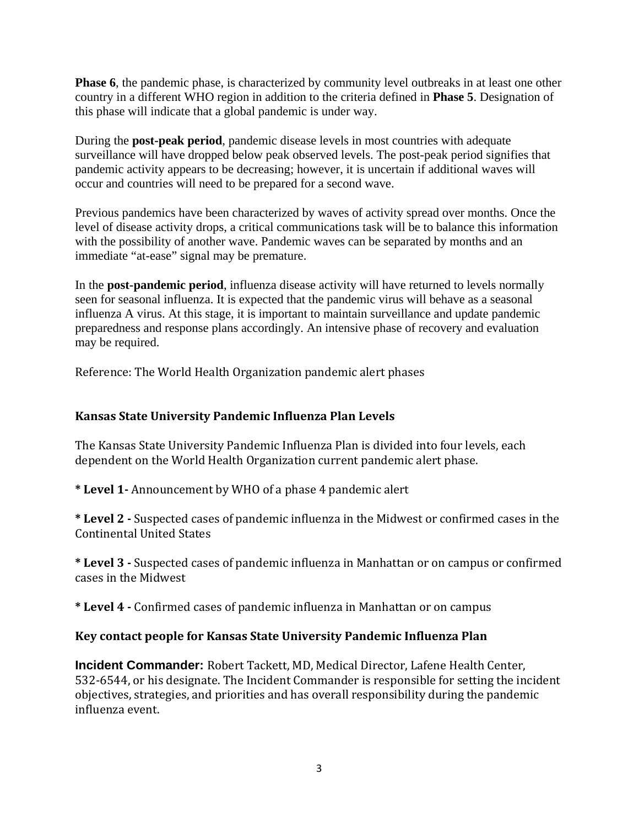**Phase 6**, the pandemic phase, is characterized by community level outbreaks in at least one other country in a different WHO region in addition to the criteria defined in **Phase 5**. Designation of this phase will indicate that a global pandemic is under way.

During the **post-peak period**, pandemic disease levels in most countries with adequate surveillance will have dropped below peak observed levels. The post-peak period signifies that pandemic activity appears to be decreasing; however, it is uncertain if additional waves will occur and countries will need to be prepared for a second wave.

Previous pandemics have been characterized by waves of activity spread over months. Once the level of disease activity drops, a critical communications task will be to balance this information with the possibility of another wave. Pandemic waves can be separated by months and an immediate "at-ease" signal may be premature.

In the **post-pandemic period**, influenza disease activity will have returned to levels normally seen for seasonal influenza. It is expected that the pandemic virus will behave as a seasonal influenza A virus. At this stage, it is important to maintain surveillance and update pandemic preparedness and response plans accordingly. An intensive phase of recovery and evaluation may be required.

Reference: The World Health Organization pandemic alert phases

## **Kansas State University Pandemic Influenza Plan Levels**

he Kansas State University Pandemic Influenza Plan is divided into four levels, each T dependent on the World Health Organization current pandemic alert phase.

**\* Level 1** Announcement by WHO of a phase 4 pandemic alert

**\* Level 2** Suspected cases of pandemic influenza in the Midwest or confirmed cases in the Continental United States

**\* Level 3** Suspected cases of pandemic influenza in Manhattan or on campus or confirmed cases in the Midwest

**\* Level 4** Confirmed cases of pandemic influenza in Manhattan or on campus

## **Key contact people for Kansas State University Pandemic Influenza Plan**

**Incident Commander:** Robert Tackett, MD, Medical Director, Lafene Health Center, 532‐6544, or his designate. The Incident Commander is responsible for setting the incident objectives, strategies, and priorities and has overall responsibility during the pandemic nfluenza event. i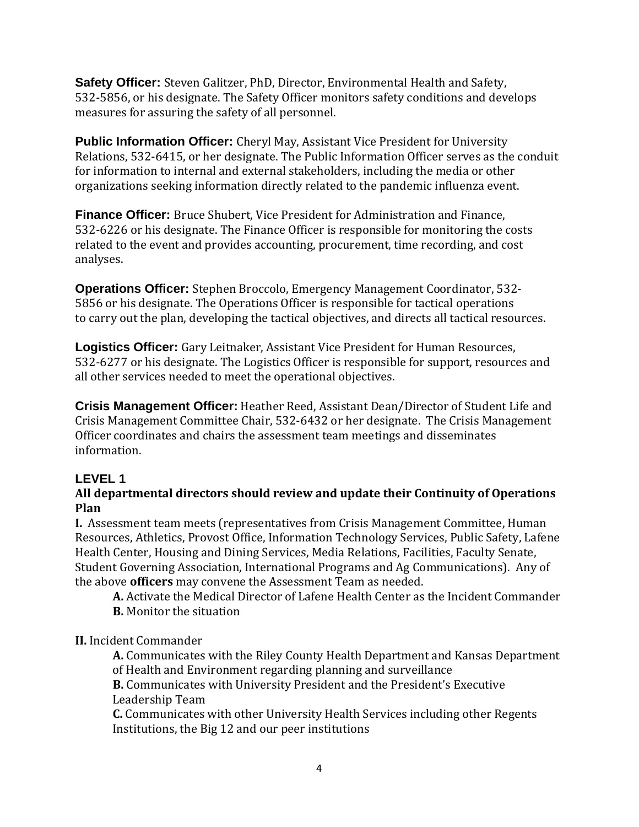**Safety Officer:** Steven Galitzer, PhD, Director, Environmental Health and Safety, 532-5856, or his designate. The Safety Officer monitors safety conditions and develops measures for assuring the safety of all personnel.

**Public Information Officer:** Cheryl May, Assistant Vice President for University Relations, 532‐6415, or her designate. The Public Information Officer serves as the conduit for information to internal and external stakeholders, including the media or other organizations seeking information directly related to the pandemic influenza event.

**Finance Officer:** Bruce Shubert, Vice President for Administration and Finance, 532‐6226 or his designate. The Finance Officer is responsible for monitoring the costs related to the event and provides accounting, procurement, time recording, and cost analyses.

**Operations Officer:** Stephen Broccolo, Emergency Management Coordinator, 532‐ 5856 or his designate. The Operations Officer is responsible for tactical operations to carry out the plan, developing the tactical objectives, and directs all tactical resources.

**Logistics Officer:** Gary Leitnaker, Assistant Vice President for Human Resources, 532-6277 or his designate. The Logistics Officer is responsible for support, resources and all other services needed to meet the operational objectives.

**Crisis Management Officer:** Heather Reed, Assistant Dean/Director of Student Life and Crisis Management Committee Chair, 532‐6432 or her designate. The Crisis Management Officer coordinates and chairs the assessment team meetings and disseminates information.

# **LEVEL 1**

## **All departmental directors should review and update their Continuity of Operations Plan**

**I.** Assessment team meets (representatives from Crisis Management Committee, Human Resources, Athletics, Provost Office, Information Technology Services, Public Safety, Lafene Health Center, Housing and Dining Services, Media Relations, Facilities, Faculty Senate, Student G overning Association, International Programs and Ag Communications). Any of the above **officers** may convene the Assessment Team as needed.

A. Activate the Medical Director of Lafene Health Center as the Incident Commander **B.** Monitor the situation

**II.** Incident Commander

**A.** Communicates with the Riley County Health Department and Kansas Department of Health and Environment regarding planning and surveillance

**B.** Communicates with University President and the President's Executive Leadership Team

**C.** Communicates with other University Health Services including other Regents Institutions, the Big 12 and our peer institutions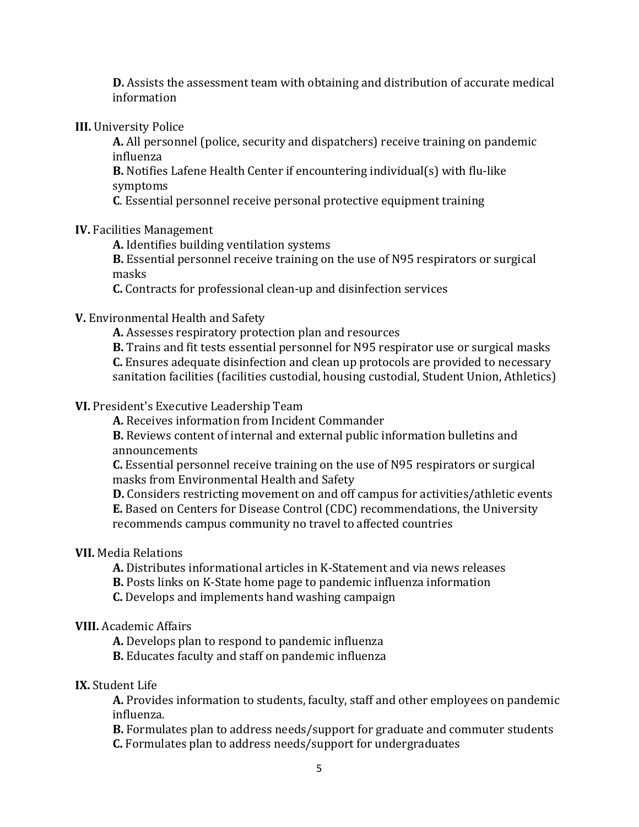**D.** Assists the assessment team with obtaining and distribution of accurate medical information

#### **III.** University Police

**A.** All personnel (police, security and dispatchers) receive training on pandemic influenza

**B.** Notifies Lafene Health Center if encountering individual(s) with flu‐like ymptoms s

**C**. Essential personnel receive personal protective equipment training

#### **IV.** Facilities Management

**A.** Identifies building ventilation systems

**B.** Essential personnel receive training on the use of N95 respirators or surgical m asks

**C.** Contracts for professional clean‐up and disinfection services

### **V.** Environmental Health and Safety

**A.** Assesses respiratory protection plan and resources

**B.** Trains and fit tests essential personnel for N95 respirator use or surgical masks **.** Ensures adequate disinfection and clean up protocols are provided to necessary **C** sanitation facilities (facilities custodial, housing custodial, Student Union, Athletics)

#### **VI.** President's Executive Leadership Team

**A.** Receives information from Incident Commander

**B.** Reviews content of internal and external public information bulletins and announcements

**C.** Essent ial personnel receive training on the use of N95 respirators or surgical m asks from Environmental Health and Safety

**D.** Considers restricting movement on and off campus for activities/athletic events **E.** Based on Centers for Disease Control (CDC) recommendations, the University recommends campus community no travel to affected countries

### **VII.** Media Relations

A. Distributes informational articles in K-Statement and via news releases

- **B.** Posts links on K-State home page to pandemic influenza information
- **C.** Develops and implements hand washing campaign

#### **VIII.** Academic Affairs

A. Develops plan to respond to pandemic influenza

**B.** Educates faculty and staff on pandemic influenza

#### **IX.** Student Life

influenza. **A.** Provides information to students, faculty, staff and other employees on pandemic

B. Formulates plan to address needs/support for graduate and commuter students **C.** Formulates plan to address needs/support for undergraduates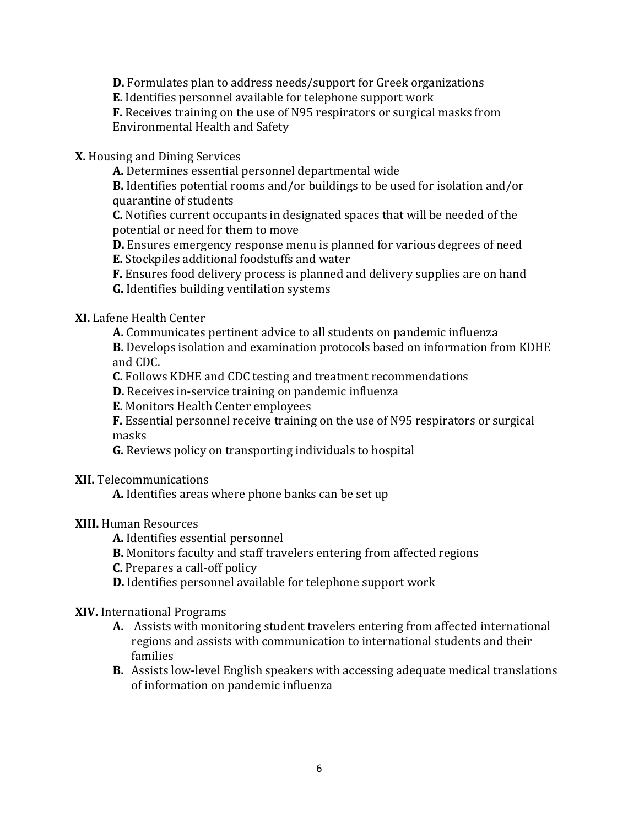**D.** Formulates plan to address needs/support for Greek organizations

**E.** Identifies personnel available for telephone support work

**F.** Receives training on the use of N95 respirators or surgical masks from Environmental Health and Safety

#### **X.** Housing and Dining Services

**A.** Determines essential personnel departmental wide

**B.** Identifies potential rooms and/or buildings to be used for isolation and/or quarantine of students

**C.** Notifies c urrent occupants in designated spaces that will be needed of the po tential or need for them to move

**D .** Ensures emergency response menu is planned for various degrees of need

E. Stockpiles additional foodstuffs and water

**F.** Ensures food delivery process is planned and delivery supplies are on hand

**G.** Identifies building ventilation systems

### **XI.** Lafene Health Center

**A.** Communicates pertinent advice to all students on pandemic influenza

**B.** Develops isolation and examination protocols based on information from KDHE an d CDC.

**C.** Follows KDHE and CDC testing and treatment recommendations

**D .** Receives in‐service training on pandemic influenza

**E.** Monitors Health Center employees

F. Essential personnel receive training on the use of N95 respirators or surgical m asks

**G.** Reviews policy on transporting individuals to hospital

**II.** Telecommunications **X**

A. Identifies areas where phone banks can be set up

### **XIII.** Human Resources

A. Identifies essential personnel

**B.** Monitors faculty and staff travelers entering from affected regions

**C.** Prepares a call‐off policy

**D.** Identifies personnel available for telephone support work

### **XIV.** International Programs

- **A.** Assists with monitoring student travelers entering from affected international regions and assists with communication to international students and their families
- **B.** Assists low‐level English speakers with accessing adequate medical translations of information on pandemic influenza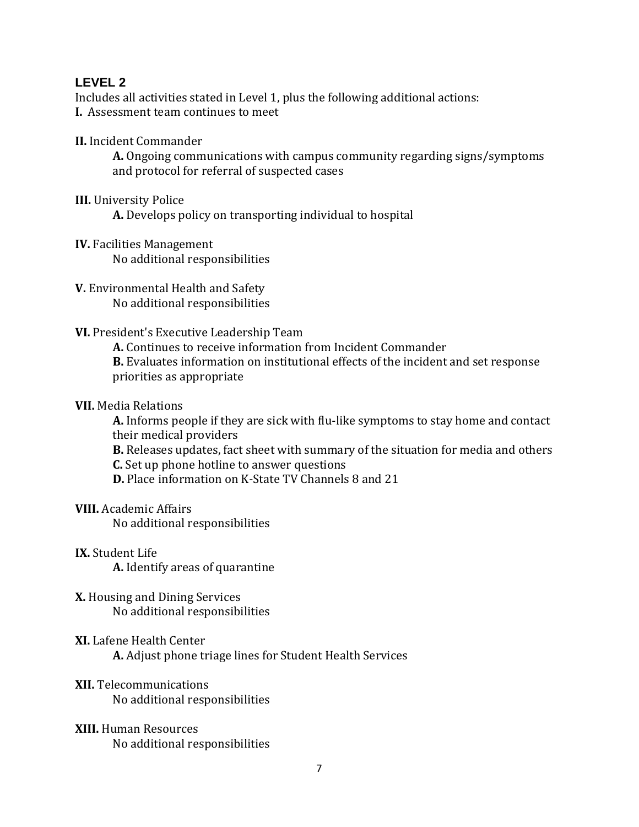### **LE VEL 2**

Includes all activities stated in Level 1, plus the following additional actions: **I.** Assessment team continues to meet

**II.** Incident Commander

**A.** Ongoing communications with campus community regarding signs/symptoms and protocol for referral of suspected cases

**II.** University Police **I**

**A.** Develops policy on transporting individual to hospital

- **V.** Faci lities Management **I** No additional responsibilities
- **V.** Environmental Health and Safety No additional responsibilities
- **VI.** President's Executive Leadership Team

**A.** Continues to receive information from Incident Commander

**B.** Evaluates information on institutional effects of the incident and set response priorities as appropriate

#### **VII.** Media Relations

**A.** Informs people if they are sick with flu‐like symptoms to stay home and contact th e ir medical providers

**B.** Releases updates, fact sheet with summary of the situation for media and others

**.** Set up phone hotline to answer questions **C**

**D.** Place information on K-State TV Channels 8 and 21

**III.** Academic Affairs **V**

No additional responsibilities

**X.** Student Life **I**

**A.** Identify areas of quarantine

- **.** Hous ing and Dining Services **X** No additional responsibilities
- **I.** Lafene Health Center **X** A. Adjust phone triage lines for Student Health Services
- **II.** Telecommunications **X** No additional responsibilities
- **XIII.** Human Resources No additional responsibilities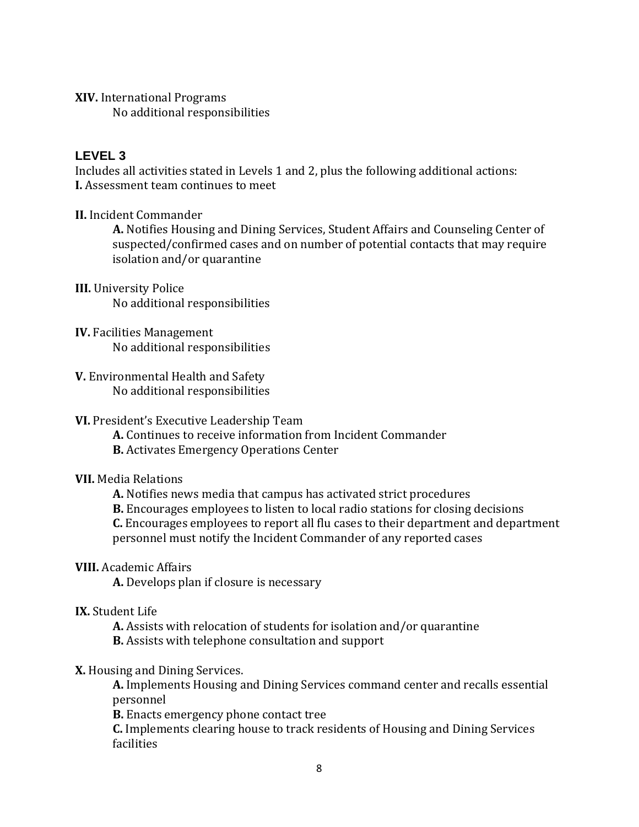**XIV.** International Programs No additional responsibilities

### **L EVEL 3**

Includes all activities stated in Levels 1 and 2, plus the following additional actions: **I.** Assessment team continues to meet

**II.** Incident Commander

**A.** Notifies Housing and Dining Services, Student Affairs and Counseling Center of suspected/confirmed cases and on number of potential contacts that may require isolation and/or quarantine

- **II.** University Police **I** No additional responsibilities
- **IV.** Facilities Management No additional responsibilities
- **V.** Environmental Health and Safety No additional responsibilities

### **VI.** President's Executive Leadership Team

- A. Continues to receive information from Incident Commander
- **B.** Activates Emergency Operations Center

## **VII.** Media Relations

- **A.** Notifies news media that campus has activated strict procedures
- **B.** Encourages employees to listen to local radio stations for closing decisions

**.** Encourages employees to report all flu cases to their department and department **C** personnel must notify the Incident Commander of any reported cases

### **III.** Academic Affairs **V**

A. Develops plan if closure is necessary

## **IX.** Student Life

- A. Assists with relocation of students for isolation and/or quarantine
- **B.** Assists with telephone consultation and support

## **X.** Housing and Dining Services.

A. Implements Housing and Dining Services command center and recalls essential pe rsonnel

**B.** Enacts emergency phone contact tree

**C.** Implements clearing house to track residents of Housing and Dining Services facilities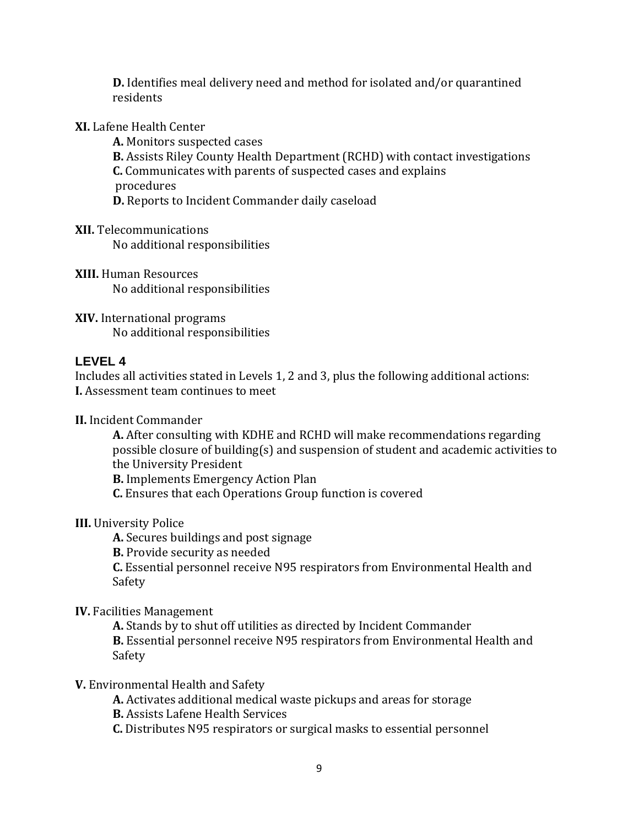**D.** Identifies meal delivery need and method for isolated and/or quarantined residents

**XI.** Lafene Health Center

**A.** Monitors suspected cases

**B.** Assists Riley County Health Department (RCHD) with contact investigations **C.** Communicates with parents of suspected cases and explains

pr ocedures

**D.** Reports to Incident Commander daily caseload

**II.** Telecommunications **X**

No additional responsibilities

**III.** Human Resources **X** No additional responsibilities

**XIV.** International programs No additional responsibilities

## **L EVEL 4**

Includes all activities stated in Levels 1, 2 and 3, plus the following additional actions: **I.** Assessment team continues to meet

**II.** Incident Commander

**A.** After consulting with KDHE and RCHD will make recommendations regarding possible closure of building(s) and suspension of student and academic activities to th e University President

**B.** Implements Emergency Action Plan

**C.** Ensures that each Operations Group function is covered

## **III.** University Police

**A.** Secures buildings and post signage

**B.** Provide security as needed

**C.** Essential personnel receive N95 respirators from Environmental Health and Safety

## **IV.** Facilities Management

A. Stands by to shut off utilities as directed by Incident Commander B. Essential personnel receive N95 respirators from Environmental Health and Safety

### **V.** Environmental Health and Safety

**A.** Activates additional medical waste pickups and areas for storage

**B.** Assists Lafene Health Services

**C.** Distributes N95 respirators or surgical masks to essential personnel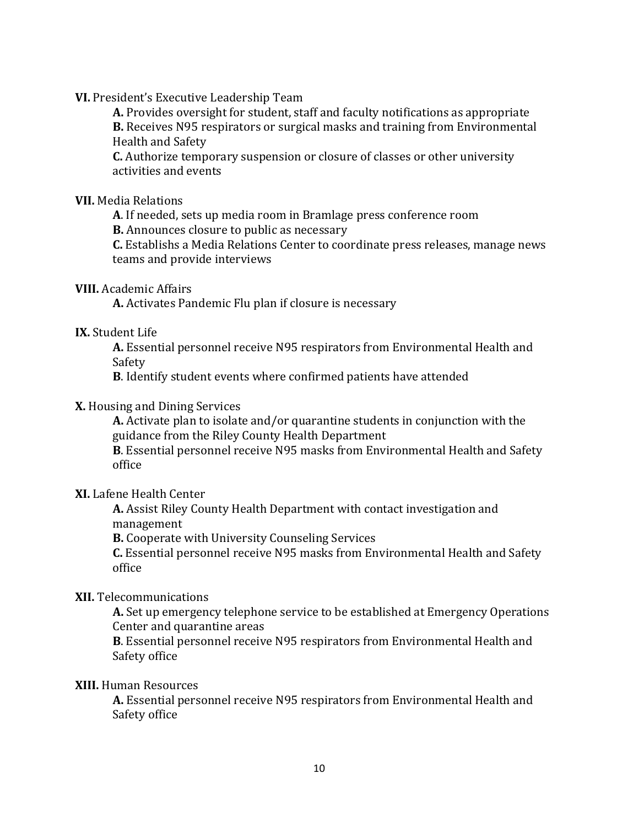**VI.** President's Executive Leadership Team

A. Provides oversight for student, staff and faculty notifications as appropriate **B.** Receives N95 respirators or surgical masks and training from Environmental Health and Safety

**.** Authorize temporary suspension or closure of classes or other university **C** activities and events

**VII.** Medi a Relations

**A**. If needed, sets up media room i n Bramlage press conference room

**B.** Announces closure to public as necessary

**C.** Establishs a Media Relations Center to coordinate press releases, manage news teams and provide interviews

#### **III.** Academic Affairs **V**

A. Activates Pandemic Flu plan if closure is necessary

#### **IX.** Student Lif e

**A .** Essential personnel receive N95 respirators from Environmental Health and Sa fety

**B**. Identify student events where confirmed patients have attended

#### **X.** Housing and Dining Services

**A.** Activate plan to isolate and/or quarantine students in conjunction with the guidance from the Riley County Health Department

**B**. Essential personnel receive N95 masks from Environmental Health and Safety office

#### **XI.** Lafene Health Center

**A.** Assist Riley County Health Department with contact investigation and m anagement

**B.** Cooperate with University Counseling Services

**C.** Essential personnel receive N95 masks from Environmental Health and Safety office

### **XII.** Telecommunications

**A.** Set up emergency telephone service to be established at Emergency Operatio ns Center and quarantine areas

B. Essential personnel receive N95 respirators from Environmental Health and Safety office

#### **XIII.** Human Resour ces

**A.** Essential p ersonnel receive N95 respirators from Environmental Health and Safety office